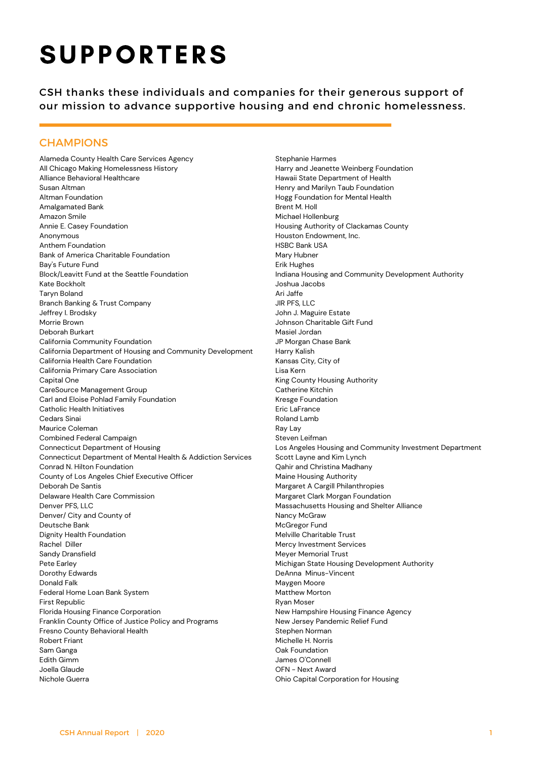# **SUPPORTERS**

CSH thanks these individuals and companies for their generous support of our mission to advance supportive housing and end chronic homelessness.

## **CHAMPIONS**

Alameda County Health Care Services Agency All Chicago Making Homelessness History Alliance Behavioral Healthcare Susan Altman Altman Foundation Amalgamated Bank Amazon Smile Annie E. Casey Foundation Anonymous Anthem Foundation Bank of America Charitable Foundation Bay's Future Fund Block/Leavitt Fund at the Seattle Foundation Kate Bockholt Taryn Boland Branch Banking & Trust Company Jeffrey I. Brodsky Morrie Brown Deborah Burkart California Community Foundation California Department of Housing and Community Development California Health Care Foundation California Primary Care Association Capital One CareSource Management Group Carl and Eloise Pohlad Family Foundation Catholic Health Initiatives Cedars Sinai Maurice Coleman Combined Federal Campaign Connecticut Department of Housing Connecticut Department of Mental Health & Addiction Services Conrad N. Hilton Foundation County of Los Angeles Chief Executive Officer Deborah De Santis Delaware Health Care Commission Denver PFS, LLC Denver/ City and County of Deutsche Bank Dignity Health Foundation Rachel Diller Sandy Dransfield Pete Earley Dorothy Edwards Donald Falk Federal Home Loan Bank System First Republic Florida Housing Finance Corporation Franklin County Office of Justice Policy and Programs Fresno County Behavioral Health Robert Friant Sam Ganga Edith Gimm Joella Glaude Nichole Guerra

Stephanie Harmes Harry and Jeanette Weinberg Foundation Hawaii State Department of Health Henry and Marilyn Taub Foundation Hogg Foundation for Mental Health Brent M. Holl Michael Hollenburg Housing Authority of Clackamas County Houston Endowment, Inc. HSBC Bank USA Mary Hubner Erik Hughes Indiana Housing and Community Development Authority Joshua Jacobs Ari Jaffe JIR PFS, LLC John J. Maguire Estate Johnson Charitable Gift Fund Masiel Jordan JP Morgan Chase Bank Harry Kalish Kansas City, City of Lisa Kern King County Housing Authority Catherine Kitchin Kresge Foundation Eric LaFrance Roland Lamb Ray Lay Steven Leifman Los Angeles Housing and Community Investment Department Scott Layne and Kim Lynch Qahir and Christina Madhany Maine Housing Authority Margaret A Cargill Philanthropies Margaret Clark Morgan Foundation Massachusetts Housing and Shelter Alliance Nancy McGraw McGregor Fund Melville Charitable Trust Mercy Investment Services Meyer Memorial Trust Michigan State Housing Development Authority DeAnna Minus-Vincent Maygen Moore Matthew Morton Ryan Moser New Hampshire Housing Finance Agency New Jersey Pandemic Relief Fund Stephen Norman Michelle H. Norris Oak Foundation James O'Connell OFN - Next Award Ohio Capital Corporation for Housing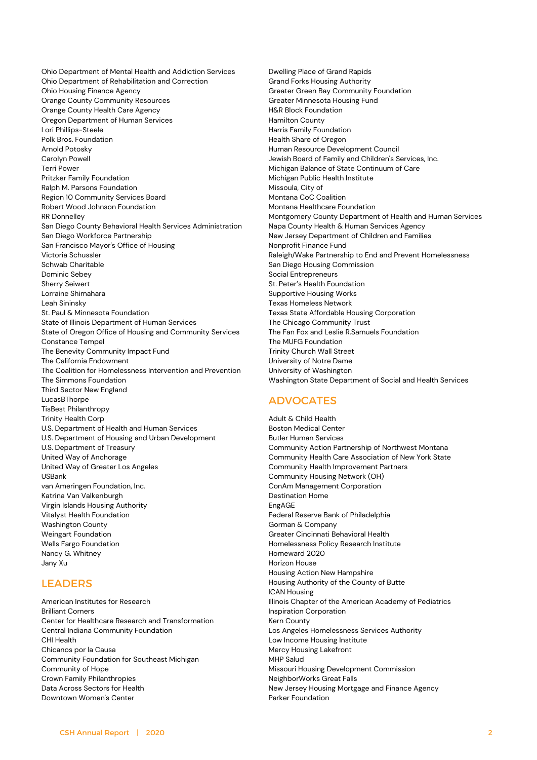Ohio Department of Mental Health and Addiction Services Ohio Department of Rehabilitation and Correction Ohio Housing Finance Agency Orange County Community Resources Orange County Health Care Agency Oregon Department of Human Services Lori Phillips-Steele Polk Bros. Foundation Arnold Potosky Carolyn Powell Terri Power Pritzker Family Foundation Ralph M. Parsons Foundation Region 10 Community Services Board Robert Wood Johnson Foundation RR Donnelley San Diego County Behavioral Health Services Administration San Diego Workforce Partnership San Francisco Mayor's Office of Housing Victoria Schussler Schwab Charitable Dominic Sebey Sherry Seiwert Lorraine Shimahara Leah Sininsky St. Paul & Minnesota Foundation State of Illinois Department of Human Services State of Oregon Office of Housing and Community Services Constance Tempel The Benevity Community Impact Fund The California Endowment The Coalition for Homelessness Intervention and Prevention The Simmons Foundation Third Sector New England LucasBThorpe TisBest Philanthropy Trinity Health Corp U.S. Department of Health and Human Services U.S. Department of Housing and Urban Development U.S. Department of Treasury United Way of Anchorage United Way of Greater Los Angeles USBank van Ameringen Foundation, Inc. Katrina Van Valkenburgh Virgin Islands Housing Authority Vitalyst Health Foundation Washington County Weingart Foundation Wells Fargo Foundation Nancy G. Whitney Jany Xu

## LEADERS

American Institutes for Research Brilliant Corners Center for Healthcare Research and Transformation Central Indiana Community Foundation CHI Health Chicanos por la Causa Community Foundation for Southeast Michigan Community of Hope Crown Family Philanthropies Data Across Sectors for Health Downtown Women's Center

Dwelling Place of Grand Rapids Grand Forks Housing Authority Greater Green Bay Community Foundation Greater Minnesota Housing Fund H&R Block Foundation Hamilton County Harris Family Foundation Health Share of Oregon Human Resource Development Council Jewish Board of Family and Children's Services, Inc. Michigan Balance of State Continuum of Care Michigan Public Health Institute Missoula, City of Montana CoC Coalition Montana Healthcare Foundation Montgomery County Department of Health and Human Services Napa County Health & Human Services Agency New Jersey Department of Children and Families Nonprofit Finance Fund Raleigh/Wake Partnership to End and Prevent Homelessness San Diego Housing Commission Social Entrepreneurs St. Peter's Health Foundation Supportive Housing Works Texas Homeless Network Texas State Affordable Housing Corporation The Chicago Community Trust The Fan Fox and Leslie R.Samuels Foundation The MUFG Foundation Trinity Church Wall Street University of Notre Dame University of Washington Washington State Department of Social and Health Services

## ADVOCATES

Adult & Child Health Boston Medical Center Butler Human Services Community Action Partnership of Northwest Montana Community Health Care Association of New York State Community Health Improvement Partners Community Housing Network (OH) ConAm Management Corporation Destination Home EngAGE Federal Reserve Bank of Philadelphia Gorman & Company Greater Cincinnati Behavioral Health Homelessness Policy Research Institute Homeward 2020 Horizon House Housing Action New Hampshire Housing Authority of the County of Butte ICAN Housing Illinois Chapter of the American Academy of Pediatrics Inspiration Corporation Kern County Los Angeles Homelessness Services Authority Low Income Housing Institute Mercy Housing Lakefront MHP Salud Missouri Housing Development Commission NeighborWorks Great Falls New Jersey Housing Mortgage and Finance Agency Parker Foundation